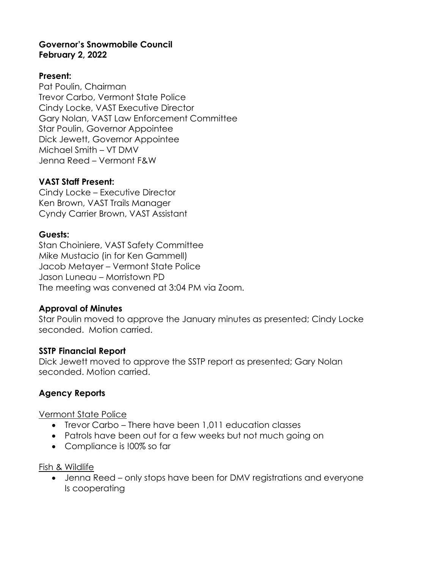## **Governor's Snowmobile Council February 2, 2022**

### **Present:**

Pat Poulin, Chairman Trevor Carbo, Vermont State Police Cindy Locke, VAST Executive Director Gary Nolan, VAST Law Enforcement Committee Star Poulin, Governor Appointee Dick Jewett, Governor Appointee Michael Smith – VT DMV Jenna Reed – Vermont F&W

#### **VAST Staff Present:**

Cindy Locke – Executive Director Ken Brown, VAST Trails Manager Cyndy Carrier Brown, VAST Assistant

#### **Guests:**

Stan Choiniere, VAST Safety Committee Mike Mustacio (in for Ken Gammell) Jacob Metayer – Vermont State Police Jason Luneau – Morristown PD The meeting was convened at 3:04 PM via Zoom.

#### **Approval of Minutes**

Star Poulin moved to approve the January minutes as presented; Cindy Locke seconded. Motion carried.

#### **SSTP Financial Report**

Dick Jewett moved to approve the SSTP report as presented; Gary Nolan seconded. Motion carried.

## **Agency Reports**

Vermont State Police

- Trevor Carbo There have been 1,011 education classes
- Patrols have been out for a few weeks but not much going on
- Compliance is !00% so far

#### Fish & Wildlife

• Jenna Reed – only stops have been for DMV registrations and everyone Is cooperating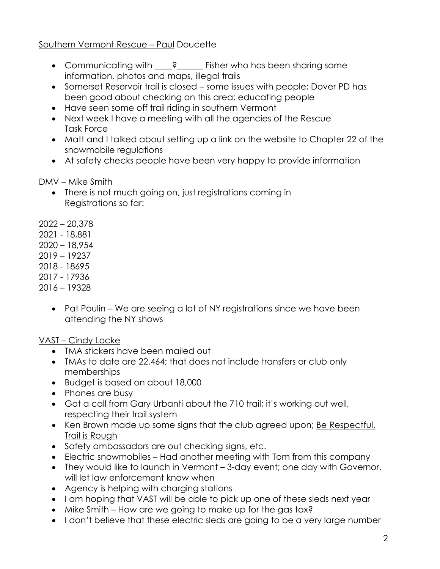## Southern Vermont Rescue – Paul Doucette

- Communicating with \_\_\_\_? \_\_\_\_\_\_ Fisher who has been sharing some information, photos and maps, illegal trails
- Somerset Reservoir trail is closed some issues with people; Dover PD has been good about checking on this area; educating people
- Have seen some off trail riding in southern Vermont
- Next week I have a meeting with all the agencies of the Rescue Task Force
- Matt and I talked about setting up a link on the website to Chapter 22 of the snowmobile regulations
- At safety checks people have been very happy to provide information

#### DMV – Mike Smith

- There is not much going on, just registrations coming in Registrations so far:
- 2022 20,378
- 2021 18,881
- 2020 18,954
- 2019 19237
- 2018 18695
- 2017 17936
- 2016 19328
	- Pat Poulin We are seeing a lot of NY registrations since we have been attending the NY shows

## VAST – Cindy Locke

- TMA stickers have been mailed out
- TMAs to date are 22,464; that does not include transfers or club only memberships
- Budget is based on about 18,000
- Phones are busy
- Got a call from Gary Urbanti about the 710 trail; it's working out well, respecting their trail system
- Ken Brown made up some signs that the club agreed upon; Be Respectful, Trail is Rough
- Safety ambassadors are out checking signs, etc.
- Electric snowmobiles Had another meeting with Tom from this company
- They would like to launch in Vermont 3-day event; one day with Governor, will let law enforcement know when
- Agency is helping with charging stations
- I am hoping that VAST will be able to pick up one of these sleds next year
- Mike Smith How are we going to make up for the gas tax?
- I don't believe that these electric sleds are going to be a very large number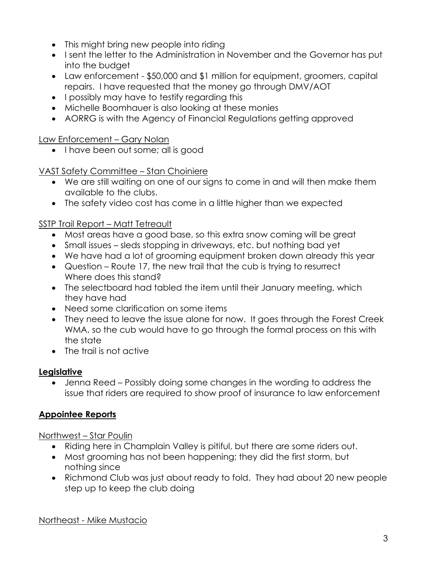- This might bring new people into riding
- I sent the letter to the Administration in November and the Governor has put into the budget
- Law enforcement \$50,000 and \$1 million for equipment, groomers, capital repairs. I have requested that the money go through DMV/AOT
- I possibly may have to testify regarding this
- Michelle Boomhauer is also looking at these monies
- AORRG is with the Agency of Financial Regulations getting approved

Law Enforcement – Gary Nolan

• I have been out some; all is good

VAST Safety Committee – Stan Choiniere

- We are still waiting on one of our signs to come in and will then make them available to the clubs.
- The safety video cost has come in a little higher than we expected

SSTP Trail Report – Matt Tetreault

- Most areas have a good base, so this extra snow coming will be great
- Small issues sleds stopping in driveways, etc. but nothing bad yet
- We have had a lot of grooming equipment broken down already this year
- Question Route 17, the new trail that the cub is trying to resurrect Where does this stand?
- The selectboard had tabled the item until their January meeting, which they have had
- Need some clarification on some items
- They need to leave the issue alone for now. It goes through the Forest Creek WMA, so the cub would have to go through the formal process on this with the state
- The trail is not active

## **Legislative**

• Jenna Reed – Possibly doing some changes in the wording to address the issue that riders are required to show proof of insurance to law enforcement

# **Appointee Reports**

Northwest – Star Poulin

- Riding here in Champlain Valley is pitiful, but there are some riders out.
- Most grooming has not been happening; they did the first storm, but nothing since
- Richmond Club was just about ready to fold. They had about 20 new people step up to keep the club doing

Northeast - Mike Mustacio